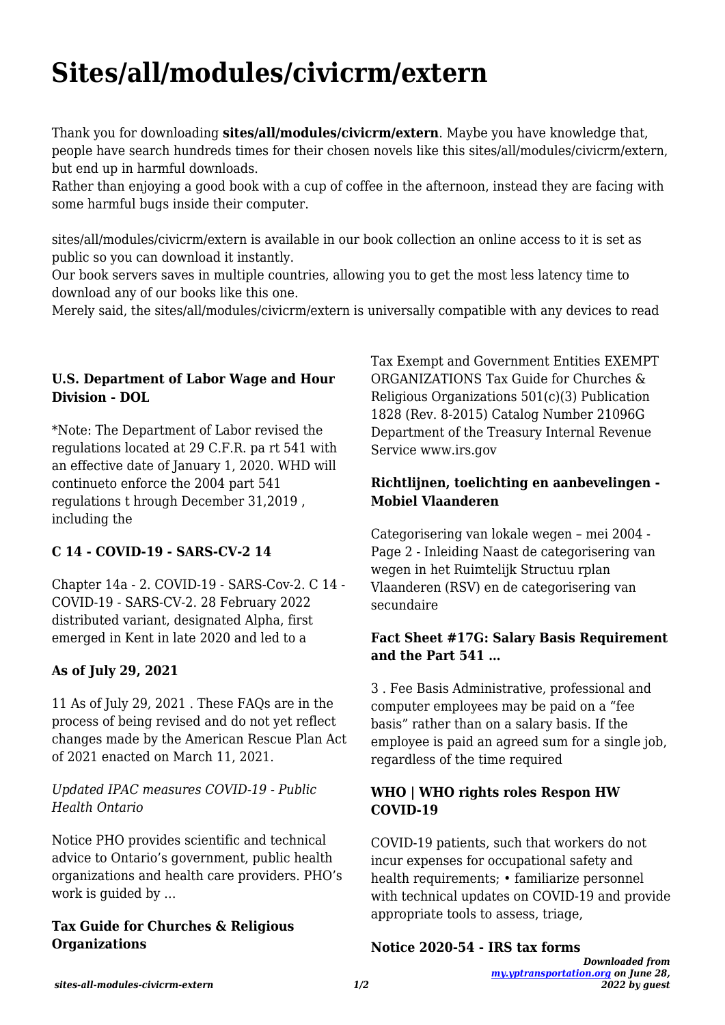# **Sites/all/modules/civicrm/extern**

Thank you for downloading **sites/all/modules/civicrm/extern**. Maybe you have knowledge that, people have search hundreds times for their chosen novels like this sites/all/modules/civicrm/extern, but end up in harmful downloads.

Rather than enjoying a good book with a cup of coffee in the afternoon, instead they are facing with some harmful bugs inside their computer.

sites/all/modules/civicrm/extern is available in our book collection an online access to it is set as public so you can download it instantly.

Our book servers saves in multiple countries, allowing you to get the most less latency time to download any of our books like this one.

Merely said, the sites/all/modules/civicrm/extern is universally compatible with any devices to read

# **U.S. Department of Labor Wage and Hour Division - DOL**

\*Note: The Department of Labor revised the regulations located at 29 C.F.R. pa rt 541 with an effective date of January 1, 2020. WHD will continueto enforce the 2004 part 541 regulations t hrough December 31,2019 , including the

# **C 14 - COVID-19 - SARS-CV-2 14**

Chapter 14a - 2. COVID-19 - SARS-Cov-2. C 14 - COVID-19 - SARS-CV-2. 28 February 2022 distributed variant, designated Alpha, first emerged in Kent in late 2020 and led to a

# **As of July 29, 2021**

11 As of July 29, 2021 . These FAQs are in the process of being revised and do not yet reflect changes made by the American Rescue Plan Act of 2021 enacted on March 11, 2021.

### *Updated IPAC measures COVID-19 - Public Health Ontario*

Notice PHO provides scientific and technical advice to Ontario's government, public health organizations and health care providers. PHO's work is guided by …

### **Tax Guide for Churches & Religious Organizations**

Tax Exempt and Government Entities EXEMPT ORGANIZATIONS Tax Guide for Churches & Religious Organizations 501(c)(3) Publication 1828 (Rev. 8-2015) Catalog Number 21096G Department of the Treasury Internal Revenue Service www.irs.gov

## **Richtlijnen, toelichting en aanbevelingen - Mobiel Vlaanderen**

Categorisering van lokale wegen – mei 2004 - Page 2 - Inleiding Naast de categorisering van wegen in het Ruimtelijk Structuu rplan Vlaanderen (RSV) en de categorisering van secundaire

### **Fact Sheet #17G: Salary Basis Requirement and the Part 541 …**

3 . Fee Basis Administrative, professional and computer employees may be paid on a "fee basis" rather than on a salary basis. If the employee is paid an agreed sum for a single job, regardless of the time required

# **WHO | WHO rights roles Respon HW COVID-19**

COVID-19 patients, such that workers do not incur expenses for occupational safety and health requirements; • familiarize personnel with technical updates on COVID-19 and provide appropriate tools to assess, triage,

**Notice 2020-54 - IRS tax forms**